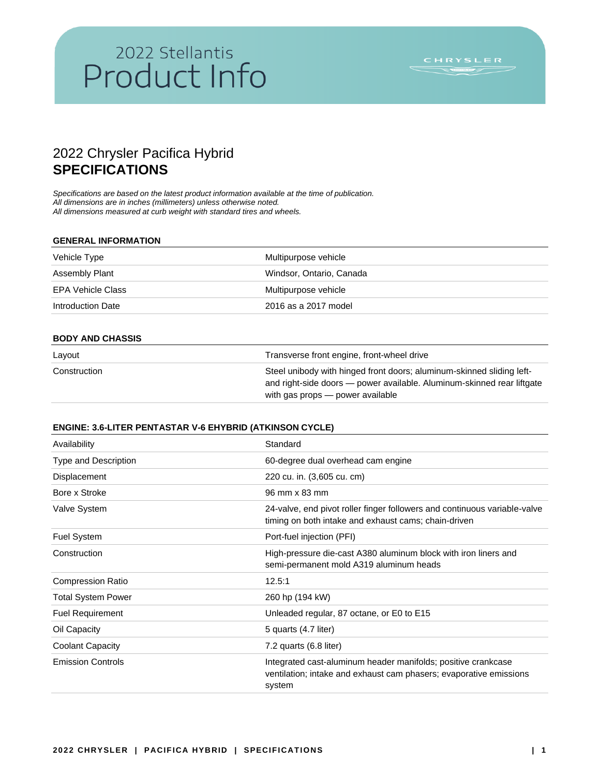## 2022 Stellantis 2022 Stellantis<br>Product Info

## 2022 Chrysler Pacifica Hybrid **SPECIFICATIONS**

*Specifications are based on the latest product information available at the time of publication. All dimensions are in inches (millimeters) unless otherwise noted. All dimensions measured at curb weight with standard tires and wheels.* 

#### **GENERAL INFORMATION**

| Vehicle Type      | Multipurpose vehicle     |
|-------------------|--------------------------|
| Assembly Plant    | Windsor, Ontario, Canada |
| EPA Vehicle Class | Multipurpose vehicle     |
| Introduction Date | 2016 as a 2017 model     |

#### **BODY AND CHASSIS**

| Layout       | Transverse front engine, front-wheel drive                                                                                                                                          |
|--------------|-------------------------------------------------------------------------------------------------------------------------------------------------------------------------------------|
| Construction | Steel unibody with hinged front doors; aluminum-skinned sliding left-<br>and right-side doors — power available. Aluminum-skinned rear liftgate<br>with gas props — power available |

#### **ENGINE: 3.6-LITER PENTASTAR V-6 EHYBRID (ATKINSON CYCLE)**

| Availability             | Standard                                                                                                                                      |
|--------------------------|-----------------------------------------------------------------------------------------------------------------------------------------------|
| Type and Description     | 60-degree dual overhead cam engine                                                                                                            |
| Displacement             | 220 cu. in. (3,605 cu. cm)                                                                                                                    |
| Bore x Stroke            | 96 mm x 83 mm                                                                                                                                 |
| Valve System             | 24-valve, end pivot roller finger followers and continuous variable-valve<br>timing on both intake and exhaust cams; chain-driven             |
| <b>Fuel System</b>       | Port-fuel injection (PFI)                                                                                                                     |
| Construction             | High-pressure die-cast A380 aluminum block with iron liners and<br>semi-permanent mold A319 aluminum heads                                    |
| <b>Compression Ratio</b> | 12.5:1                                                                                                                                        |
| Total System Power       | 260 hp (194 kW)                                                                                                                               |
| <b>Fuel Requirement</b>  | Unleaded regular, 87 octane, or E0 to E15                                                                                                     |
| Oil Capacity             | 5 quarts (4.7 liter)                                                                                                                          |
| Coolant Capacity         | $7.2$ quarts $(6.8$ liter)                                                                                                                    |
| <b>Emission Controls</b> | Integrated cast-aluminum header manifolds; positive crankcase<br>ventilation; intake and exhaust cam phasers; evaporative emissions<br>system |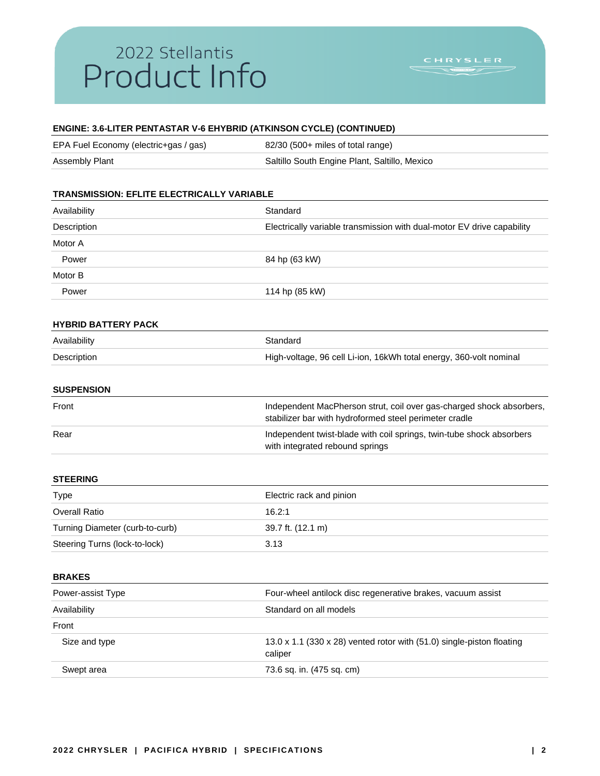## 2022 Stellantis Product Info

### **ENGINE: 3.6-LITER PENTASTAR V-6 EHYBRID (ATKINSON CYCLE) (CONTINUED)**

| EPA Fuel Economy (electric+gas / gas) | 82/30 (500+ miles of total range)             |
|---------------------------------------|-----------------------------------------------|
| <b>Assembly Plant</b>                 | Saltillo South Engine Plant, Saltillo, Mexico |

## **TRANSMISSION: EFLITE ELECTRICALLY VARIABLE** Availability **Standard** Description **Electrically variable transmission with dual-motor EV drive capability** Motor A Power 84 hp (63 kW) Motor B Power 114 hp (85 kW) **HYBRID BATTERY PACK** Availability **Standard** Description High-voltage, 96 cell Li-ion, 16kWh total energy, 360-volt nominal **SUSPENSION** Front The Independent MacPherson strut, coil over gas-charged shock absorbers, stabilizer bar with hydroformed steel perimeter cradle Rear **Independent twist-blade with coil springs**, twin-tube shock absorbers and the springs, twin-tube shock absorbers with integrated rebound springs **STEERING** Type **Electric rack and pinion** Overall Ratio 16.2:1 Turning Diameter (curb-to-curb) 39.7 ft. (12.1 m) Steering Turns (lock-to-lock) 3.13 **BRAKES** Power-assist Type Four-wheel antilock disc regenerative brakes, vacuum assist Availability **Standard on all models** Front Size and type 13.0 x 1.1 (330 x 28) vented rotor with (51.0) single-piston floating caliper

|            | ∪ali⊌ci                   |
|------------|---------------------------|
| Swept area | 73.6 sq. in. (475 sq. cm) |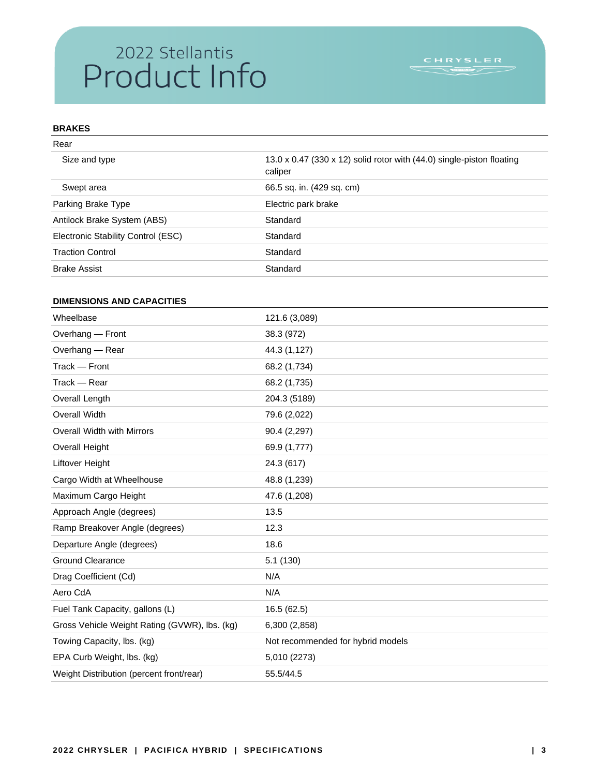# 2022 Stellantis<br>Product Info

## **BRAKES**

| 13.0 x 0.47 (330 x 12) solid rotor with (44.0) single-piston floating<br>caliper |
|----------------------------------------------------------------------------------|
| 66.5 sq. in. (429 sq. cm)                                                        |
| Electric park brake                                                              |
| Standard                                                                         |
| Standard                                                                         |
| Standard                                                                         |
| Standard                                                                         |
|                                                                                  |

### **DIMENSIONS AND CAPACITIES**

| Wheelbase                                     | 121.6 (3,089)                     |
|-----------------------------------------------|-----------------------------------|
| Overhang - Front                              | 38.3 (972)                        |
| Overhang - Rear                               | 44.3 (1,127)                      |
| Track - Front                                 | 68.2 (1,734)                      |
| Track - Rear                                  | 68.2 (1,735)                      |
| Overall Length                                | 204.3 (5189)                      |
| <b>Overall Width</b>                          | 79.6 (2,022)                      |
| <b>Overall Width with Mirrors</b>             | 90.4 (2,297)                      |
| <b>Overall Height</b>                         | 69.9 (1,777)                      |
| Liftover Height                               | 24.3 (617)                        |
| Cargo Width at Wheelhouse                     | 48.8 (1,239)                      |
| Maximum Cargo Height                          | 47.6 (1,208)                      |
| Approach Angle (degrees)                      | 13.5                              |
| Ramp Breakover Angle (degrees)                | 12.3                              |
| Departure Angle (degrees)                     | 18.6                              |
| <b>Ground Clearance</b>                       | 5.1(130)                          |
| Drag Coefficient (Cd)                         | N/A                               |
| Aero CdA                                      | N/A                               |
| Fuel Tank Capacity, gallons (L)               | 16.5 (62.5)                       |
| Gross Vehicle Weight Rating (GVWR), lbs. (kg) | 6,300 (2,858)                     |
| Towing Capacity, Ibs. (kg)                    | Not recommended for hybrid models |
| EPA Curb Weight, Ibs. (kg)                    | 5,010 (2273)                      |
| Weight Distribution (percent front/rear)      | 55.5/44.5                         |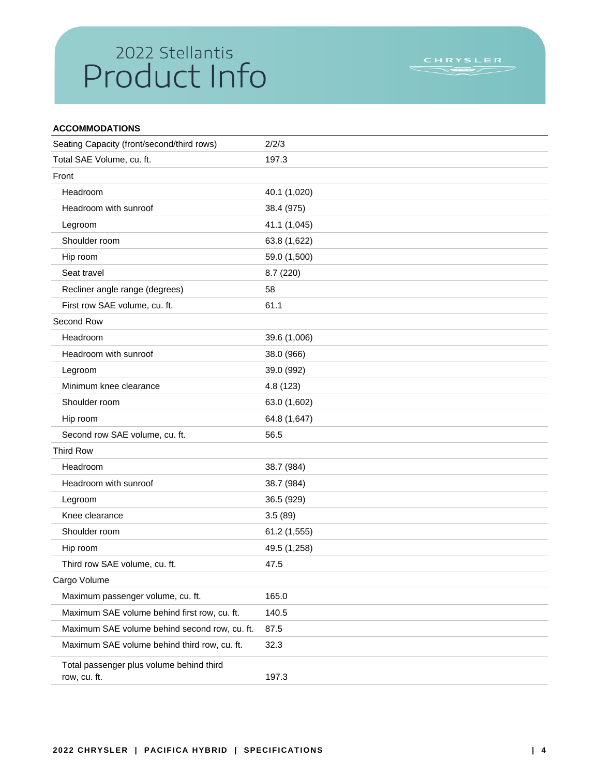# 2022 Stellantis<br>Product Info

| <b>ACCOMMODATIONS</b>                                    |              |
|----------------------------------------------------------|--------------|
| Seating Capacity (front/second/third rows)               | 2/2/3        |
| Total SAE Volume, cu. ft.                                | 197.3        |
| Front                                                    |              |
| Headroom                                                 | 40.1 (1,020) |
| Headroom with sunroof                                    | 38.4 (975)   |
| Legroom                                                  | 41.1 (1,045) |
| Shoulder room                                            | 63.8 (1,622) |
| Hip room                                                 | 59.0 (1,500) |
| Seat travel                                              | 8.7(220)     |
| Recliner angle range (degrees)                           | 58           |
| First row SAE volume, cu. ft.                            | 61.1         |
| Second Row                                               |              |
| Headroom                                                 | 39.6 (1,006) |
| Headroom with sunroof                                    | 38.0 (966)   |
| Legroom                                                  | 39.0 (992)   |
| Minimum knee clearance                                   | 4.8 (123)    |
| Shoulder room                                            | 63.0 (1,602) |
| Hip room                                                 | 64.8 (1,647) |
| Second row SAE volume, cu. ft.                           | 56.5         |
| <b>Third Row</b>                                         |              |
| Headroom                                                 | 38.7 (984)   |
| Headroom with sunroof                                    | 38.7 (984)   |
| Legroom                                                  | 36.5 (929)   |
| Knee clearance                                           | 3.5(89)      |
| Shoulder room                                            | 61.2 (1,555) |
| Hip room                                                 | 49.5 (1,258) |
| Third row SAE volume, cu. ft.                            | 47.5         |
| Cargo Volume                                             |              |
| Maximum passenger volume, cu. ft.                        | 165.0        |
| Maximum SAE volume behind first row, cu. ft.             | 140.5        |
| Maximum SAE volume behind second row, cu. ft.            | 87.5         |
| Maximum SAE volume behind third row, cu. ft.             | 32.3         |
| Total passenger plus volume behind third<br>row, cu. ft. | 197.3        |